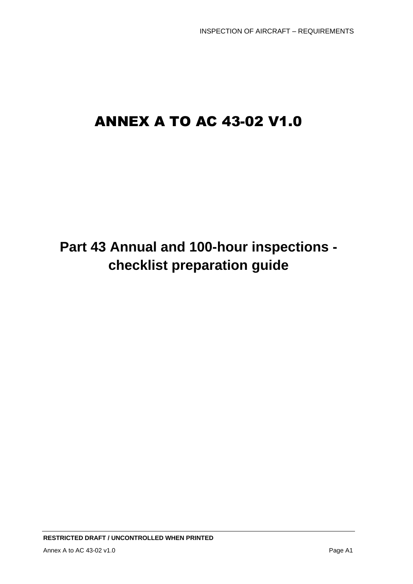# ANNEX A TO AC 43-02 V1.0

# **Part 43 Annual and 100-hour inspections checklist preparation guide**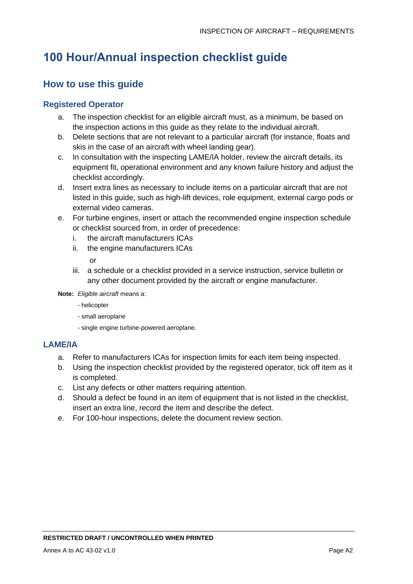### **100 Hour/Annual inspection checklist guide**

### **How to use this guide**

#### **Registered Operator**

- a. The inspection checklist for an eligible aircraft must, as a minimum, be based on the inspection actions in this guide as they relate to the individual aircraft.
- b. Delete sections that are not relevant to a particular aircraft (for instance, floats and skis in the case of an aircraft with wheel landing gear).
- c. In consultation with the inspecting LAME/IA holder, review the aircraft details, its equipment fit, operational environment and any known failure history and adjust the checklist accordingly.
- d. Insert extra lines as necessary to include items on a particular aircraft that are not listed in this guide, such as high-lift devices, role equipment, external cargo pods or external video cameras.
- e. For turbine engines, insert or attach the recommended engine inspection schedule or checklist sourced from, in order of precedence:
	- i. the aircraft manufacturers ICAs
	- ii. the engine manufacturers ICAs

or

iii. a schedule or a checklist provided in a service instruction, service bulletin or any other document provided by the aircraft or engine manufacturer.

**Note:** *Eligible aircraft* means a:

- helicopter
- small aeroplane
- single engine turbine-powered aeroplane.

#### **LAME/IA**

- a. Refer to manufacturers ICAs for inspection limits for each item being inspected.
- b. Using the inspection checklist provided by the registered operator, tick off item as it is completed.
- c. List any defects or other matters requiring attention.
- d. Should a defect be found in an item of equipment that is not listed in the checklist, insert an extra line, record the item and describe the defect.
- e. For 100-hour inspections, delete the document review section.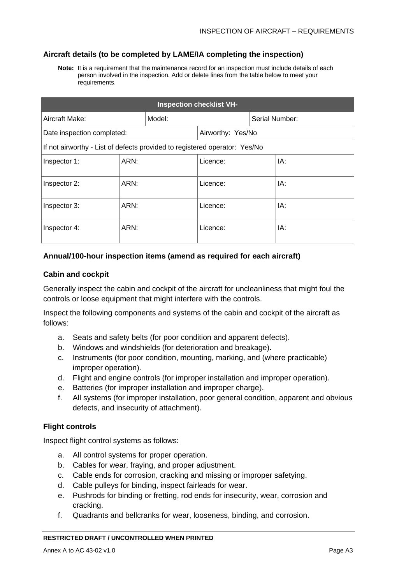#### **Aircraft details (to be completed by LAME/IA completing the inspection)**

**Note:** It is a requirement that the maintenance record for an inspection must include details of each person involved in the inspection. Add or delete lines from the table below to meet your requirements.

| <b>Inspection checklist VH-</b>                                            |      |        |                   |                |     |
|----------------------------------------------------------------------------|------|--------|-------------------|----------------|-----|
| Aircraft Make:                                                             |      | Model: |                   | Serial Number: |     |
| Date inspection completed:                                                 |      |        | Airworthy: Yes/No |                |     |
| If not airworthy - List of defects provided to registered operator: Yes/No |      |        |                   |                |     |
| Inspector 1:                                                               | ARN: |        | Licence:          |                | IA: |
| Inspector 2:                                                               | ARN: |        | Licence:          |                | IA: |
| Inspector 3:                                                               | ARN: |        | Licence:          |                | IA: |
| Inspector 4:                                                               | ARN: |        | Licence:          |                | IA: |

#### **Annual/100-hour inspection items (amend as required for each aircraft)**

#### **Cabin and cockpit**

Generally inspect the cabin and cockpit of the aircraft for uncleanliness that might foul the controls or loose equipment that might interfere with the controls.

Inspect the following components and systems of the cabin and cockpit of the aircraft as follows:

- a. Seats and safety belts (for poor condition and apparent defects).
- b. Windows and windshields (for deterioration and breakage).
- c. Instruments (for poor condition, mounting, marking, and (where practicable) improper operation).
- d. Flight and engine controls (for improper installation and improper operation).
- e. Batteries (for improper installation and improper charge).
- f. All systems (for improper installation, poor general condition, apparent and obvious defects, and insecurity of attachment).

#### **Flight controls**

Inspect flight control systems as follows:

- a. All control systems for proper operation.
- b. Cables for wear, fraying, and proper adjustment.
- c. Cable ends for corrosion, cracking and missing or improper safetying.
- d. Cable pulleys for binding, inspect fairleads for wear.
- e. Pushrods for binding or fretting, rod ends for insecurity, wear, corrosion and cracking.
- f. Quadrants and bellcranks for wear, looseness, binding, and corrosion.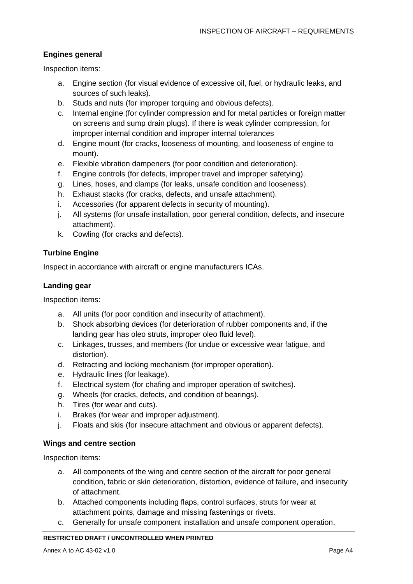#### **Engines general**

Inspection items:

- a. Engine section (for visual evidence of excessive oil, fuel, or hydraulic leaks, and sources of such leaks).
- b. Studs and nuts (for improper torquing and obvious defects).
- c. Internal engine (for cylinder compression and for metal particles or foreign matter on screens and sump drain plugs). If there is weak cylinder compression, for improper internal condition and improper internal tolerances
- d. Engine mount (for cracks, looseness of mounting, and looseness of engine to mount).
- e. Flexible vibration dampeners (for poor condition and deterioration).
- f. Engine controls (for defects, improper travel and improper safetying).
- g. Lines, hoses, and clamps (for leaks, unsafe condition and looseness).
- h. Exhaust stacks (for cracks, defects, and unsafe attachment).
- i. Accessories (for apparent defects in security of mounting).
- j. All systems (for unsafe installation, poor general condition, defects, and insecure attachment).
- k. Cowling (for cracks and defects).

#### **Turbine Engine**

Inspect in accordance with aircraft or engine manufacturers ICAs.

#### **Landing gear**

Inspection items:

- a. All units (for poor condition and insecurity of attachment).
- b. Shock absorbing devices (for deterioration of rubber components and, if the landing gear has oleo struts, improper oleo fluid level).
- c. Linkages, trusses, and members (for undue or excessive wear fatigue, and distortion).
- d. Retracting and locking mechanism (for improper operation).
- e. Hydraulic lines (for leakage).
- f. Electrical system (for chafing and improper operation of switches).
- g. Wheels (for cracks, defects, and condition of bearings).
- h. Tires (for wear and cuts).
- i. Brakes (for wear and improper adjustment).
- j. Floats and skis (for insecure attachment and obvious or apparent defects).

#### **Wings and centre section**

Inspection items:

- a. All components of the wing and centre section of the aircraft for poor general condition, fabric or skin deterioration, distortion, evidence of failure, and insecurity of attachment.
- b. Attached components including flaps, control surfaces, struts for wear at attachment points, damage and missing fastenings or rivets.
- c. Generally for unsafe component installation and unsafe component operation.

#### **RESTRICTED DRAFT / UNCONTROLLED WHEN PRINTED**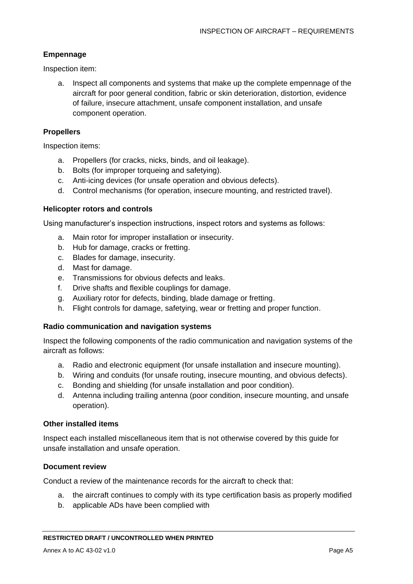#### **Empennage**

Inspection item:

a. Inspect all components and systems that make up the complete empennage of the aircraft for poor general condition, fabric or skin deterioration, distortion, evidence of failure, insecure attachment, unsafe component installation, and unsafe component operation.

#### **Propellers**

Inspection items:

- a. Propellers (for cracks, nicks, binds, and oil leakage).
- b. Bolts (for improper torqueing and safetying).
- c. Anti-icing devices (for unsafe operation and obvious defects).
- d. Control mechanisms (for operation, insecure mounting, and restricted travel).

#### **Helicopter rotors and controls**

Using manufacturer's inspection instructions, inspect rotors and systems as follows:

- a. Main rotor for improper installation or insecurity.
- b. Hub for damage, cracks or fretting.
- c. Blades for damage, insecurity.
- d. Mast for damage.
- e. Transmissions for obvious defects and leaks.
- f. Drive shafts and flexible couplings for damage.
- g. Auxiliary rotor for defects, binding, blade damage or fretting.
- h. Flight controls for damage, safetying, wear or fretting and proper function.

#### **Radio communication and navigation systems**

Inspect the following components of the radio communication and navigation systems of the aircraft as follows:

- a. Radio and electronic equipment (for unsafe installation and insecure mounting).
- b. Wiring and conduits (for unsafe routing, insecure mounting, and obvious defects).
- c. Bonding and shielding (for unsafe installation and poor condition).
- d. Antenna including trailing antenna (poor condition, insecure mounting, and unsafe operation).

#### **Other installed items**

Inspect each installed miscellaneous item that is not otherwise covered by this guide for unsafe installation and unsafe operation.

#### **Document review**

Conduct a review of the maintenance records for the aircraft to check that:

- a. the aircraft continues to comply with its type certification basis as properly modified
- b. applicable ADs have been complied with